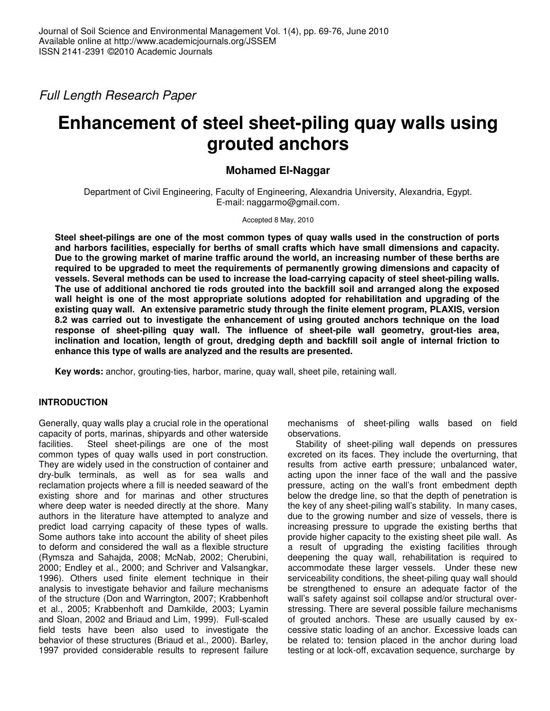Full Length Research Paper

# **Enhancement of steel sheet-piling quay walls using grouted anchors**

## **Mohamed El-Naggar**

Department of Civil Engineering, Faculty of Engineering, Alexandria University, Alexandria, Egypt. E-mail: naggarmo@gmail.com.

Accepted 8 May, 2010

**Steel sheet-pilings are one of the most common types of quay walls used in the construction of ports and harbors facilities, especially for berths of small crafts which have small dimensions and capacity. Due to the growing market of marine traffic around the world, an increasing number of these berths are required to be upgraded to meet the requirements of permanently growing dimensions and capacity of vessels. Several methods can be used to increase the load-carrying capacity of steel sheet-piling walls. The use of additional anchored tie rods grouted into the backfill soil and arranged along the exposed wall height is one of the most appropriate solutions adopted for rehabilitation and upgrading of the existing quay wall. An extensive parametric study through the finite element program, PLAXIS, version 8.2 was carried out to investigate the enhancement of using grouted anchors technique on the load response of sheet-piling quay wall. The influence of sheet-pile wall geometry, grout-ties area, inclination and location, length of grout, dredging depth and backfill soil angle of internal friction to enhance this type of walls are analyzed and the results are presented.** 

**Key words:** anchor, grouting-ties, harbor, marine, quay wall, sheet pile, retaining wall.

## **INTRODUCTION**

Generally, quay walls play a crucial role in the operational capacity of ports, marinas, shipyards and other waterside facilities. Steel sheet-pilings are one of the most common types of quay walls used in port construction. They are widely used in the construction of container and dry-bulk terminals, as well as for sea walls and reclamation projects where a fill is needed seaward of the existing shore and for marinas and other structures where deep water is needed directly at the shore. Many authors in the literature have attempted to analyze and predict load carrying capacity of these types of walls. Some authors take into account the ability of sheet piles to deform and considered the wall as a flexible structure (Rymsza and Sahajda, 2008; McNab, 2002; Cherubini, 2000; Endley et al., 2000; and Schriver and Valsangkar, 1996). Others used finite element technique in their analysis to investigate behavior and failure mechanisms of the structure (Don and Warrington, 2007; Krabbenhoft et al., 2005; Krabbenhoft and Damkilde, 2003; Lyamin and Sloan, 2002 and Briaud and Lim, 1999). Full-scaled field tests have been also used to investigate the behavior of these structures (Briaud et al., 2000). Barley, 1997 provided considerable results to represent failure

mechanisms of sheet-piling walls based on field observations.

Stability of sheet-piling wall depends on pressures excreted on its faces. They include the overturning, that results from active earth pressure; unbalanced water, acting upon the inner face of the wall and the passive pressure, acting on the wall's front embedment depth below the dredge line, so that the depth of penetration is the key of any sheet-piling wall's stability. In many cases, due to the growing number and size of vessels, there is increasing pressure to upgrade the existing berths that provide higher capacity to the existing sheet pile wall. As a result of upgrading the existing facilities through deepening the quay wall, rehabilitation is required to accommodate these larger vessels. Under these new serviceability conditions, the sheet-piling quay wall should be strengthened to ensure an adequate factor of the wall's safety against soil collapse and/or structural overstressing. There are several possible failure mechanisms of grouted anchors. These are usually caused by excessive static loading of an anchor. Excessive loads can be related to: tension placed in the anchor during load testing or at lock-off, excavation sequence, surcharge by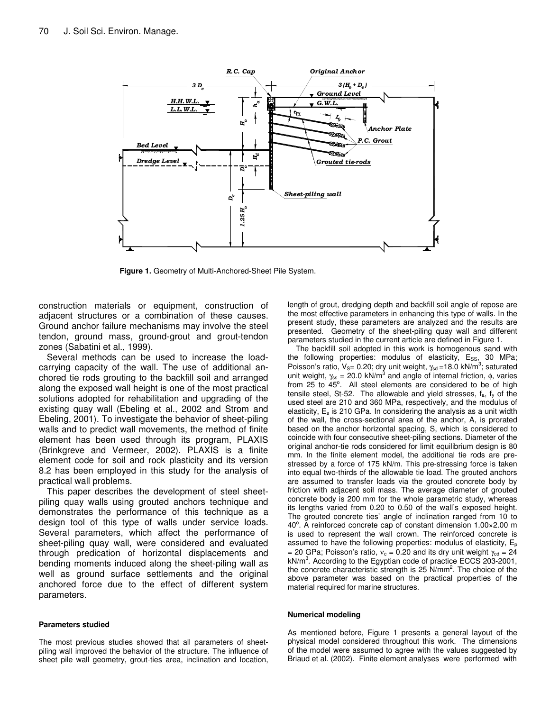

**Figure 1.** Geometry of Multi-Anchored-Sheet Pile System.

construction materials or equipment, construction of adjacent structures or a combination of these causes. Ground anchor failure mechanisms may involve the steel tendon, ground mass, ground-grout and grout-tendon zones (Sabatini et al., 1999).

Several methods can be used to increase the loadcarrying capacity of the wall. The use of additional anchored tie rods grouting to the backfill soil and arranged along the exposed wall height is one of the most practical solutions adopted for rehabilitation and upgrading of the existing quay wall (Ebeling et al., 2002 and Strom and Ebeling, 2001). To investigate the behavior of sheet-piling walls and to predict wall movements, the method of finite element has been used through its program, PLAXIS (Brinkgreve and Vermeer, 2002). PLAXIS is a finite element code for soil and rock plasticity and its version 8.2 has been employed in this study for the analysis of practical wall problems.

This paper describes the development of steel sheetpiling quay walls using grouted anchors technique and demonstrates the performance of this technique as a design tool of this type of walls under service loads. Several parameters, which affect the performance of sheet-piling quay wall, were considered and evaluated through predication of horizontal displacements and bending moments induced along the sheet-piling wall as well as ground surface settlements and the original anchored force due to the effect of different system parameters.

#### **Parameters studied**

The most previous studies showed that all parameters of sheetpiling wall improved the behavior of the structure. The influence of sheet pile wall geometry, grout-ties area, inclination and location, length of grout, dredging depth and backfill soil angle of repose are the most effective parameters in enhancing this type of walls. In the present study, these parameters are analyzed and the results are presented. Geometry of the sheet-piling quay wall and different parameters studied in the current article are defined in Figure 1.

The backfill soil adopted in this work is homogenous sand with the following properties: modulus of elasticity,  $E_{SS}$ , 30 MPa; Poisson's ratio,  $V_{\rm s}$  = 0.20; dry unit weight,  $\gamma_{\rm sd}$  = 18.0 kN/m<sup>3</sup>; saturated unit weight,  $\gamma_{\rm ss}$  = 20.0 kN/m<sup>3</sup> and angle of internal friction,  $\phi$ , varies from  $25$  to  $45^\circ$ . All steel elements are considered to be of high tensile steel, St-52. The allowable and yield stresses,  $f_a$ ,  $f_y$  of the used steel are 210 and 360 MPa, respectively, and the modulus of elasticity,  $E_s$  is 210 GPa. In considering the analysis as a unit width of the wall, the cross-sectional area of the anchor, A, is prorated based on the anchor horizontal spacing, S, which is considered to coincide with four consecutive sheet-piling sections. Diameter of the original anchor-tie rods considered for limit equilibrium design is 80 mm. In the finite element model, the additional tie rods are prestressed by a force of 175 kN/m. This pre-stressing force is taken into equal two-thirds of the allowable tie load. The grouted anchors are assumed to transfer loads via the grouted concrete body by friction with adjacent soil mass. The average diameter of grouted concrete body is 200 mm for the whole parametric study, whereas its lengths varied from 0.20 to 0.50 of the wall's exposed height. The grouted concrete ties' angle of inclination ranged from 10 to 40°. A reinforced concrete cap of constant dimension 1.00×2.00 m is used to represent the wall crown. The reinforced concrete is assumed to have the following properties: modulus of elasticity,  $E_p$ = 20 GPa; Poisson's ratio,  $v_c$  = 0.20 and its dry unit weight  $\gamma_{cd}$  = 24 kN/m<sup>3</sup>. According to the Egyptian code of practice ECCS 203-2001, the concrete characteristic strength is 25 N/mm<sup>2</sup>. The choice of the above parameter was based on the practical properties of the material required for marine structures.

#### **Numerical modeling**

As mentioned before, Figure 1 presents a general layout of the physical model considered throughout this work. The dimensions of the model were assumed to agree with the values suggested by Briaud et al. (2002). Finite element analyses were performed with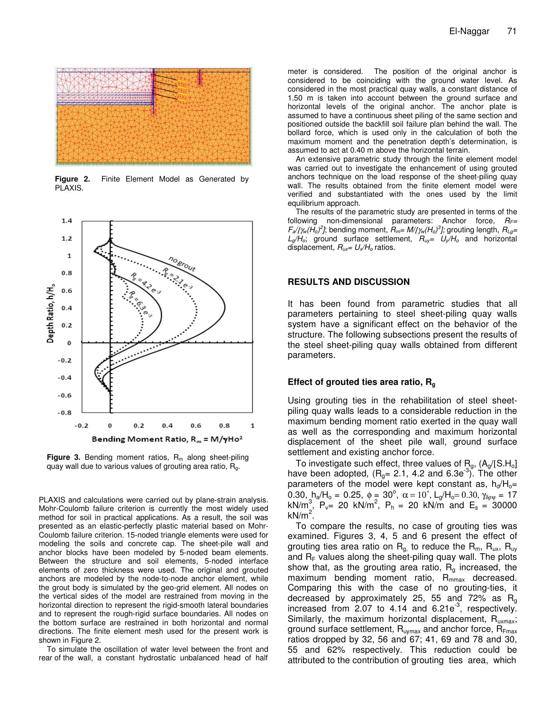

**Figure 2.** Finite Element Model as Generated by PLAXIS.



**Figure 3.** Bending moment ratios,  $R_m$  along sheet-piling quay wall due to various values of grouting area ratio,  $R<sub>a</sub>$ .

PLAXIS and calculations were carried out by plane-strain analysis. Mohr-Coulomb failure criterion is currently the most widely used method for soil in practical applications. As a result, the soil was presented as an elastic-perfectly plastic material based on Mohr-Coulomb failure criterion. 15-noded triangle elements were used for modeling the soils and concrete cap. The sheet-pile wall and anchor blocks have been modeled by 5-noded beam elements. Between the structure and soil elements, 5-noded interface elements of zero thickness were used. The original and grouted anchors are modeled by the node-to-node anchor element, while the grout body is simulated by the geo-grid element. All nodes on the vertical sides of the model are restrained from moving in the horizontal direction to represent the rigid-smooth lateral boundaries and to represent the rough-rigid surface boundaries. All nodes on the bottom surface are restrained in both horizontal and normal directions. The finite element mesh used for the present work is shown in Figure 2.

To simulate the oscillation of water level between the front and rear of the wall, a constant hydrostatic unbalanced head of half

meter is considered. The position of the original anchor is considered to be coinciding with the ground water level. As considered in the most practical quay walls, a constant distance of 1.50 m is taken into account between the ground surface and horizontal levels of the original anchor. The anchor plate is assumed to have a continuous sheet piling of the same section and positioned outside the backfill soil failure plan behind the wall. The bollard force, which is used only in the calculation of both the maximum moment and the penetration depth's determination, is assumed to act at 0.40 m above the horizontal terrain.

An extensive parametric study through the finite element model was carried out to investigate the enhancement of using grouted anchors technique on the load response of the sheet-piling quay wall. The results obtained from the finite element model were verified and substantiated with the ones used by the limit equilibrium approach.

The results of the parametric study are presented in terms of the following non-dimensional parameters: Anchor force,  $R_F=$  $F_a/[{\gamma_w(H_o)}^2]$ ; bending moment,  $R_m = M/{\gamma_w(H_o)}^3$ ; grouting length,  $R_{Lg} =$  $L_g/H_o$ ; ground surface settlement,  $R_{uy} = U_v/H_o$  and horizontal displacement,  $R_{ux}=U_x/H_0$  ratios.

## **RESULTS AND DISCUSSION**

It has been found from parametric studies that all parameters pertaining to steel sheet-piling quay walls system have a significant effect on the behavior of the structure. The following subsections present the results of the steel sheet-piling quay walls obtained from different parameters.

### **Effect of grouted ties area ratio, R<sup>g</sup>**

Using grouting ties in the rehabilitation of steel sheetpiling quay walls leads to a considerable reduction in the maximum bending moment ratio exerted in the quay wall as well as the corresponding and maximum horizontal displacement of the sheet pile wall, ground surface settlement and existing anchor force.

To investigate such effect, three values of  $R_g$ ,  $(A_g/[S.H_o])$ have been adopted,  $(R<sub>g</sub>= 2.1, 4.2$  and 6.3e<sup>-3</sup>). The other parameters of the model were kept constant as,  $h_d/H_o=$ 0.30,  $h_a/H_0 = 0.25$ ,  $\phi = 30^\circ$ ,  $\alpha = 10^\circ$ ,  $L_g/H_0 = 0.30$ ,  $\gamma_{\delta \rho \psi} = 17$  $kN/m_s^3$ ,  $P_v = 20$  kN/m<sup>2</sup>,  $P_h = 20$  kN/m and  $E_s = 30000$ k $N/m^2$ .

To compare the results, no case of grouting ties was examined. Figures 3, 4, 5 and 6 present the effect of grouting ties area ratio on  $R_{q}$  to reduce the  $R_{m}$ ,  $R_{ux}$ ,  $R_{uy}$ and  $R_F$  values along the sheet-piling quay wall. The plots show that, as the grouting area ratio,  $R_g$  increased, the maximum bending moment ratio,  $R_{mnax}$  decreased. Comparing this with the case of no grouting-ties, it decreased by approximately 25, 55 and 72% as  $R_q$ increased from 2.07 to 4.14 and  $6.21e^{-3}$ , respectively. Similarly, the maximum horizontal displacement,  $R_{uxmax}$ ; ground surface settlement,  $\mathsf{R}_{\mathsf{uymax}}$  and anchor force,  $\mathsf{R}_{\mathsf{Fmax}}$ ratios dropped by 32, 56 and 67; 41, 69 and 78 and 30, 55 and 62% respectively. This reduction could be attributed to the contribution of grouting ties area, which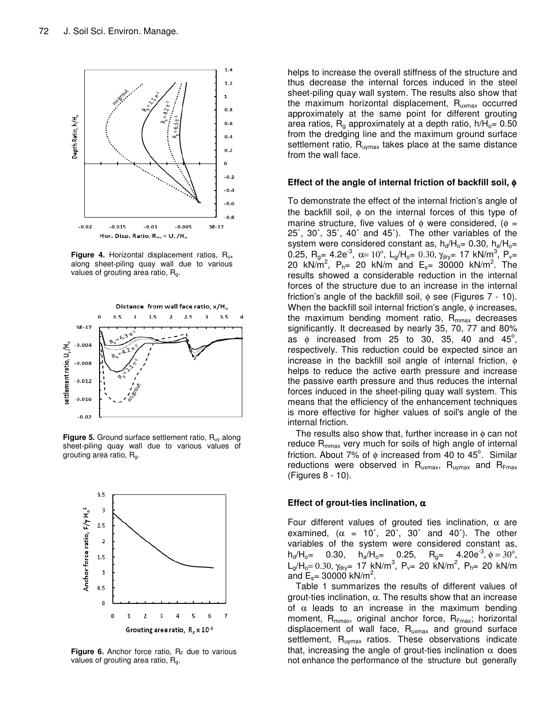

**Figure 4.** Horizontal displacement ratios, Rux along sheet-piling quay wall due to various values of grouting area ratio, R<sub>g</sub>.



**Figure 5.** Ground surface settlement ratio, R<sub>uy</sub> along sheet-piling quay wall due to various values of grouting area ratio,  $R_{q}$ .



**Figure 6.** Anchor force ratio,  $R_F$  due to various values of grouting area ratio, Rg.

helps to increase the overall stiffness of the structure and thus decrease the internal forces induced in the steel sheet-piling quay wall system. The results also show that the maximum horizontal displacement,  $R_{uxmax}$  occurred approximately at the same point for different grouting area ratios,  $R_{q}$  approximately at a depth ratio,  $h/H_{q} = 0.50$ from the dredging line and the maximum ground surface settlement ratio,  $R_{uymax}$  takes place at the same distance from the wall face.

## **Effect of the angle of internal friction of backfill soil,** φ

To demonstrate the effect of the internal friction's angle of the backfill soil, φ on the internal forces of this type of marine structure, five values of  $\phi$  were considered, ( $\phi$  = 25˚, 30˚, 35˚, 40˚ and 45˚). The other variables of the system were considered constant as,  $h_d/H_o = 0.30$ ,  $h_a/H_o =$ 0.25,  $R_{g=}$  4.2e<sup>-3</sup>,  $\alpha = 10^{\circ}$ ,  $L_{g}/H_{g=}$  0.30,  $\gamma_{dry}$  17 kN/m<sup>3</sup>, P<sub>v</sub>= 20 kN/m<sup>2</sup>, P<sub>h</sub>= 20 kN/m and E<sub>s</sub>= 30000 kN/m<sup>2</sup>. The results showed a considerable reduction in the internal forces of the structure due to an increase in the internal friction's angle of the backfill soil,  $\phi$  see (Figures 7 - 10). When the backfill soil internal friction's angle, φ increases, the maximum bending moment ratio,  $R_{\text{mmax}}$  decreases significantly. It decreased by nearly 35, 70, 77 and 80% as  $\phi$  increased from 25 to 30, 35, 40 and 45 $^{\circ}$ , respectively. This reduction could be expected since an increase in the backfill soil angle of internal friction, φ helps to reduce the active earth pressure and increase the passive earth pressure and thus reduces the internal forces induced in the sheet-piling quay wall system. This means that the efficiency of the enhancement techniques is more effective for higher values of soil's angle of the internal friction.

The results also show that, further increase in  $\phi$  can not reduce  $R_{\text{mmax}}$  very much for soils of high angle of internal friction. About 7% of  $\phi$  increased from 40 to 45°. Similar reductions were observed in  $R_{uxmax}$ ,  $R_{uymax}$  and  $R_{Fmax}$ (Figures 8 - 10).

## **Effect of grout-ties inclination,** α

Four different values of grouted ties inclination,  $\alpha$  are examined,  $(\alpha = 10^{\circ}, 20^{\circ}, 30^{\circ}$  and 40°). The other variables of the system were considered constant as,  $h_d/H_o = 0.30$ ,  $h_a/H_o = 0.25$ ,  $R_q = 4.20e^{-3}, \phi = 30^\circ,$  $L_g/H_o = 0.30$ , γ<sub>dry</sub>= 17 kN/m<sup>3</sup>, P<sub>v</sub>= 20 kN/m<sup>2</sup>, P<sub>h</sub>= 20 kN/m and  $E_s = 30000 \text{ kN/m}^2$ .

Table 1 summarizes the results of different values of grout-ties inclination,  $\alpha$ . The results show that an increase of  $\alpha$  leads to an increase in the maximum bending moment,  $R_{mmax}$ , original anchor force,  $R_{Fmax}$ ; horizontal displacement of wall face,  $R_{uxmax}$  and ground surface settlement,  $R_{uymax}$  ratios. These observations indicate that, increasing the angle of grout-ties inclination  $\alpha$  does not enhance the performance of the structure but generally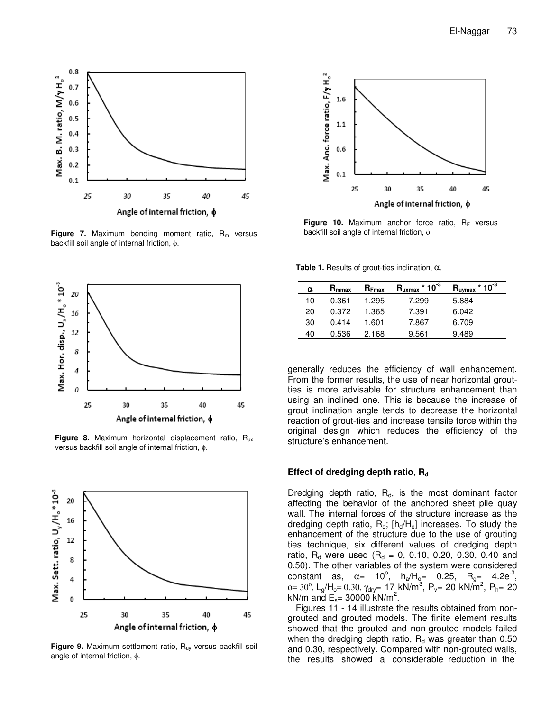

**Figure 7.** Maximum bending moment ratio, R<sub>m</sub> versus backfill soil angle of internal friction, φ.



Figure 8. Maximum horizontal displacement ratio, R<sub>ux</sub> versus backfill soil angle of internal friction, φ.



Figure 9. Maximum settlement ratio, R<sub>uy</sub> versus backfill soil angle of internal friction, φ.



**Figure 10.** Maximum anchor force ratio,  $R_F$  versus backfill soil angle of internal friction, φ.

**Table 1.** Results of grout-ties inclination, α.

| α  | $R_{\text{mmax}}$ | $R_{Fmax}$ | $R_{uxmax}$ * 10 <sup>-3</sup> | $R_{uymax}$ * 10 <sup>-3</sup> |
|----|-------------------|------------|--------------------------------|--------------------------------|
| 10 | 0.361             | 1.295      | 7.299                          | 5.884                          |
| 20 | 0.372             | 1.365      | 7.391                          | 6.042                          |
| 30 | 0.414             | 1.601      | 7.867                          | 6.709                          |
| 40 | 0.536             | 2.168      | 9.561                          | 9.489                          |

generally reduces the efficiency of wall enhancement. From the former results, the use of near horizontal groutties is more advisable for structure enhancement than using an inclined one. This is because the increase of grout inclination angle tends to decrease the horizontal reaction of grout-ties and increase tensile force within the original design which reduces the efficiency of the structure's enhancement.

## Effect of dredging depth ratio, R<sub>d</sub>

Dredging depth ratio,  $R_d$ , is the most dominant factor affecting the behavior of the anchored sheet pile quay wall. The internal forces of the structure increase as the dredging depth ratio,  $R_d$ ;  $[h_d/H_o]$  increases. To study the enhancement of the structure due to the use of grouting ties technique, six different values of dredging depth ratio,  $R_d$  were used ( $R_d = 0$ , 0.10, 0.20, 0.30, 0.40 and 0.50). The other variables of the system were considered constant as,  $\alpha = 10^{\circ}$ ,  $h_{a}/H_{\text{e}} = 0.25$ ,  $R_{g} = 4.2e^{-3}$ ,  $\phi = 30^{\circ}$ , L<sub>g</sub>/H<sub>o</sub>= 0.30,  $\gamma_{\text{dry}}$ = 17 kN/m<sup>3</sup>, P<sub>v</sub>= 20 kN/m<sup>2</sup>, P<sub>h</sub>= 20 kN/m and  $E_s = 30000$  kN/m<sup>2</sup>.

Figures 11 - 14 illustrate the results obtained from nongrouted and grouted models. The finite element results showed that the grouted and non-grouted models failed when the dredging depth ratio,  $R_d$  was greater than 0.50 and 0.30, respectively. Compared with non-grouted walls, the results showed a considerable reduction in the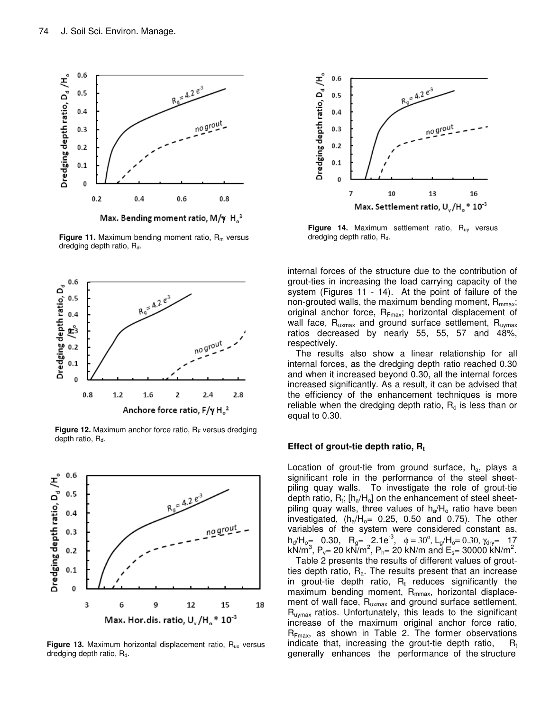

Max. Bending moment ratio, M/y  $H_0^3$ 

**Figure 11.** Maximum bending moment ratio,  $R_m$  versus dredging depth ratio, R<sub>d</sub>.



Figure 12. Maximum anchor force ratio, R<sub>F</sub> versus dredging depth ratio,  $R_d$ .



**Figure 13.** Maximum horizontal displacement ratio, R<sub>ux</sub> versus dredging depth ratio,  $R_d$ .



Figure 14. Maximum settlement ratio, R<sub>uy</sub> versus dredging depth ratio,  $R_d$ .

internal forces of the structure due to the contribution of grout-ties in increasing the load carrying capacity of the system (Figures 11 - 14). At the point of failure of the non-grouted walls, the maximum bending moment,  $R_{\text{max}}$ ; original anchor force,  $R_{Fmax}$ ; horizontal displacement of wall face,  $R_{uxmax}$  and ground surface settlement,  $R_{uymax}$ ratios decreased by nearly 55, 55, 57 and 48%, respectively.

The results also show a linear relationship for all internal forces, as the dredging depth ratio reached 0.30 and when it increased beyond 0.30, all the internal forces increased significantly. As a result, it can be advised that the efficiency of the enhancement techniques is more reliable when the dredging depth ratio,  $R_d$  is less than or equal to 0.30.

## Effect of grout-tie depth ratio, R<sub>t</sub>

Location of grout-tie from ground surface,  $h_a$ , plays a significant role in the performance of the steel sheetpiling quay walls. To investigate the role of grout-tie depth ratio,  $\mathsf{R}_{\mathsf{t}}$ ; [h $_{\mathsf{a}}\!/\mathsf{H}_{\mathsf{o}}\!]$  on the enhancement of steel sheetpiling quay walls, three values of  $h_a/H_0$  ratio have been investigated,  $(h_a/H_0 = 0.25, 0.50$  and 0.75). The other variables of the system were considered constant as,  $h_d/H_{o}$  = 0.30,  $R_g =$  2.1e<sup>-3</sup>,  $\phi = 30^\circ$ , L<sub>g</sub>/H<sub>o</sub> = 0.30, γ<sub>dry</sub> = 17  $kN/m^3$ , P<sub>v</sub>= 20 kN/m<sup>2</sup>, P<sub>h</sub>= 20 kN/m and E<sub>s</sub>= 30000 kN/m<sup>2</sup>.

Table 2 presents the results of different values of groutties depth ratio,  $R_a$ . The results present that an increase in grout-tie depth ratio,  $R_t$  reduces significantly the maximum bending moment, R<sub>mmax</sub>, horizontal displacement of wall face, R<sub>uxmax</sub> and ground surface settlement, R<sub>uymax</sub> ratios. Unfortunately, this leads to the significant increase of the maximum original anchor force ratio,  $R_{Fmax}$ , as shown in Table 2. The former observations indicate that, increasing the grout-tie depth ratio,  $R_t$ generally enhances the performance of the structure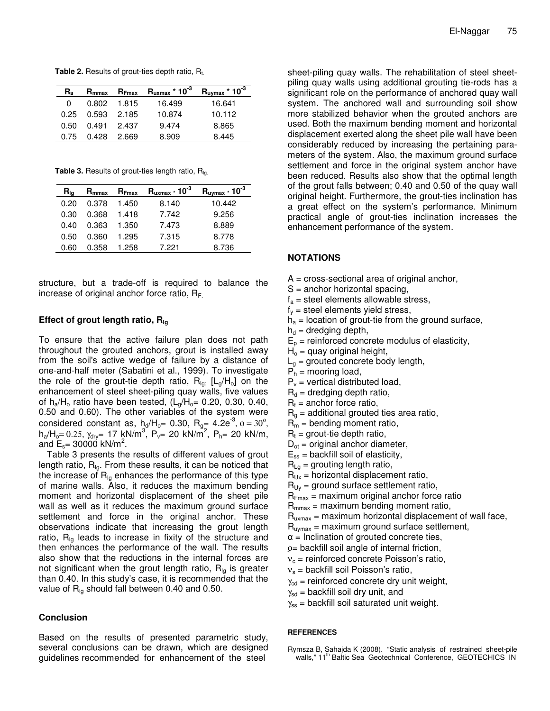**Table 2.** Results of grout-ties depth ratio, R<sub>t.</sub>

| $R_{a}$ | $R_{\rm mmax}$ | $R_{Fmax}$ | $\mathsf{R}_{\mathsf{uxmax}}$ * 10 $^3$ | $R_{\text{uymax}}$ * 10 <sup>-3</sup> |
|---------|----------------|------------|-----------------------------------------|---------------------------------------|
| 0       | $0.802$ 1.815  |            | 16.499                                  | 16.641                                |
| 0.25    | 0.593          | 2.185      | 10.874                                  | 10.112                                |
| 0.50    | 0.491          | 2.437      | 9.474                                   | 8.865                                 |
| 0.75    | 0.428          | 2.669      | 8.909                                   | 8.445                                 |

Table 3. Results of grout-ties length ratio, R<sub>lg.</sub>

| $H_{\text{Ia}}$ | $R_{\text{mmax}}$ | $R_{Fmax}$ | $R_{uxmax}$ * 10 <sup>-3</sup> | $R_{\text{uymax}} \cdot 10^{-3}$ |
|-----------------|-------------------|------------|--------------------------------|----------------------------------|
| 0.20            | 0.378             | 1.450      | 8.140                          | 10.442                           |
| 0.30            | 0.368             | 1.418      | 7.742                          | 9.256                            |
| 0.40            | 0.363             | 1.350      | 7.473                          | 8.889                            |
| 0.50            | 0.360             | 1 295      | 7.315                          | 8.778                            |
| 0.60            | 0.358             | 1 258      | 7.221                          | 8.736                            |

structure, but a trade-off is required to balance the increase of original anchor force ratio,  $R_F$ .

## **Effect of grout length ratio, Rlg**

To ensure that the active failure plan does not path throughout the grouted anchors, grout is installed away from the soil's active wedge of failure by a distance of one-and-half meter (Sabatini et al., 1999). To investigate the role of the grout-tie depth ratio,  $R_{\text{lg}}$  [L<sub>g</sub>/H<sub>o</sub>] on the enhancement of steel sheet-piling quay walls, five values of  $h_a/H_0$  ratio have been tested,  $(L_a/H_0 = 0.20, 0.30, 0.40,$ 0.50 and 0.60). The other variables of the system were considered constant as,  $h_d/H_o = 0.30$ ,  $R_g = 4.2e^{-3}$ ,  $\phi = 30^\circ$ ,  $h_a/H_0 = 0.25$ ,  $\gamma_{\text{dry}} = 17 \text{ kN/m}^3$ ,  $P_v = 20 \text{ kN/m}^2$ ,  $P_h = 20 \text{ kN/m}$ , and  $E_s = 30000 \text{ kN/m}^2$ .

Table 3 presents the results of different values of grout length ratio,  $R_{Iq}$ . From these results, it can be noticed that the increase of  $R_{Iq}$  enhances the performance of this type of marine walls. Also, it reduces the maximum bending moment and horizontal displacement of the sheet pile wall as well as it reduces the maximum ground surface settlement and force in the original anchor. These observations indicate that increasing the grout length ratio,  $R_{Iq}$  leads to increase in fixity of the structure and then enhances the performance of the wall. The results also show that the reductions in the internal forces are not significant when the grout length ratio,  $R_{lg}$  is greater than 0.40. In this study's case, it is recommended that the value of  $R_{Ia}$  should fall between 0.40 and 0.50.

## **Conclusion**

Based on the results of presented parametric study, several conclusions can be drawn, which are designed guidelines recommended for enhancement of the steel

sheet-piling quay walls. The rehabilitation of steel sheetpiling quay walls using additional grouting tie-rods has a significant role on the performance of anchored quay wall system. The anchored wall and surrounding soil show more stabilized behavior when the grouted anchors are used. Both the maximum bending moment and horizontal displacement exerted along the sheet pile wall have been considerably reduced by increasing the pertaining parameters of the system. Also, the maximum ground surface settlement and force in the original system anchor have been reduced. Results also show that the optimal length of the grout falls between; 0.40 and 0.50 of the quay wall original height. Furthermore, the grout-ties inclination has a great effect on the system's performance. Minimum practical angle of grout-ties inclination increases the enhancement performance of the system.

## **NOTATIONS**

- A = cross-sectional area of original anchor,
- S = anchor horizontal spacing,
- $f_a$  = steel elements allowable stress,
- $f_v$  = steel elements yield stress,
- $h_a$  = location of grout-tie from the ground surface,
- $h_d$  = dredging depth,
- $E_p$  = reinforced concrete modulus of elasticity,
- $H<sub>o</sub>$  = quay original height,
- $L<sub>a</sub>$  = grouted concrete body length,
- $P_h$  = mooring load,
- $P_v$  = vertical distributed load,
- $R_d$  = dredging depth ratio,
- $R_f$  = anchor force ratio,
- $R_q$  = additional grouted ties area ratio,
- $R_m$  = bending moment ratio,
- $R_t$  = grout-tie depth ratio,
- $D_{ot}$  = original anchor diameter,
- $E_{ss}$  = backfill soil of elasticity,
- $R_{La}$  = grouting length ratio,
- $R_{Ux}$  = horizontal displacement ratio,
- $R_{UV}$  = ground surface settlement ratio,
- $R_{Fmax}$  = maximum original anchor force ratio
- $R_{\text{max}}$  = maximum bending moment ratio,
- $R_{uxmax}$  = maximum horizontal displacement of wall face,
- $R_{\text{uvmax}}$  = maximum ground surface settlement,
- $\alpha$  = Inclination of grouted concrete ties,
- φ= backfill soil angle of internal friction,
- $v_c$  = reinforced concrete Poisson's ratio,
- $v<sub>s</sub>$  = backfill soil Poisson's ratio,
- $\gamma_{\rm cd}$  = reinforced concrete dry unit weight,
- $\gamma_{sd}$  = backfill soil dry unit, and
- $\gamma_{ss}$  = backfill soil saturated unit weight.

#### **REFERENCES**

Rymsza B, Sahajda K (2008). "Static analysis of restrained sheet-pile walls," 11<sup>th</sup> Baltic Sea Geotechnical Conference, GEOTECHICS IN